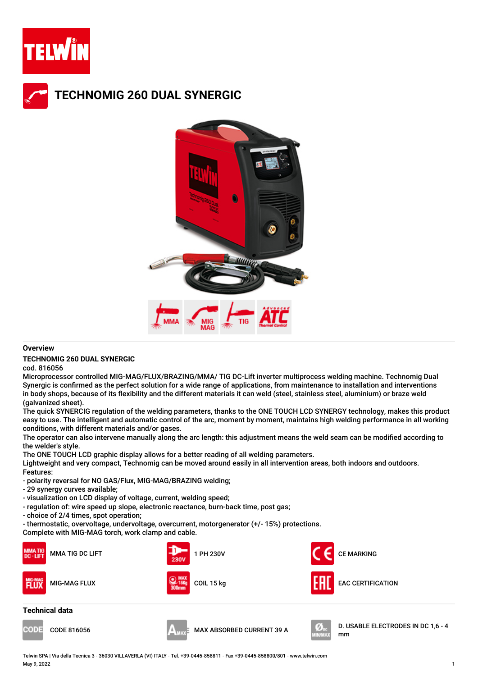

## **TECHNOMIG 260 DUAL SYNERGIC**



### **Overview**

#### **TECHNOMIG 260 DUAL SYNERGIC**

cod. 816056

Microprocessor controlled MIG-MAG/FLUX/BRAZING/MMA/ TIG DC-Lift inverter multiprocess welding machine. Technomig Dual Synergic is confirmed as the perfect solution for a wide range of applications, from maintenance to installation and interventions in body shops, because of its flexibility and the different materials it can weld (steel, stainless steel, aluminium) or braze weld (galvanized sheet).

The quick SYNERCIG regulation of the welding parameters, thanks to the ONE TOUCH LCD SYNERGY technology, makes this product easy to use. The intelligent and automatic control of the arc, moment by moment, maintains high welding performance in all working conditions, with different materials and/or gases.

The operator can also intervene manually along the arc length: this adjustment means the weld seam can be modified according to the welder's style.

The ONE TOUCH LCD graphic display allows for a better reading of all welding parameters.

Lightweight and very compact, Technomig can be moved around easily in all intervention areas, both indoors and outdoors. Features:

- polarity reversal for NO GAS/Flux, MIG-MAG/BRAZING welding;
- 29 synergy curves available;
- visualization on LCD display of voltage, current, welding speed;
- regulation of: wire speed up slope, electronic reactance, burn-back time, post gas;
- choice of 2/4 times, spot operation;

- thermostatic, overvoltage, undervoltage, overcurrent, motorgenerator (+/- 15%) protections.

Complete with MIG-MAG torch, work clamp and cable.









CODE 816056 MAX ABSORBED CURRENT 39 A D. USABLE ELECTRODES IN DC 1,6 - 4 mm